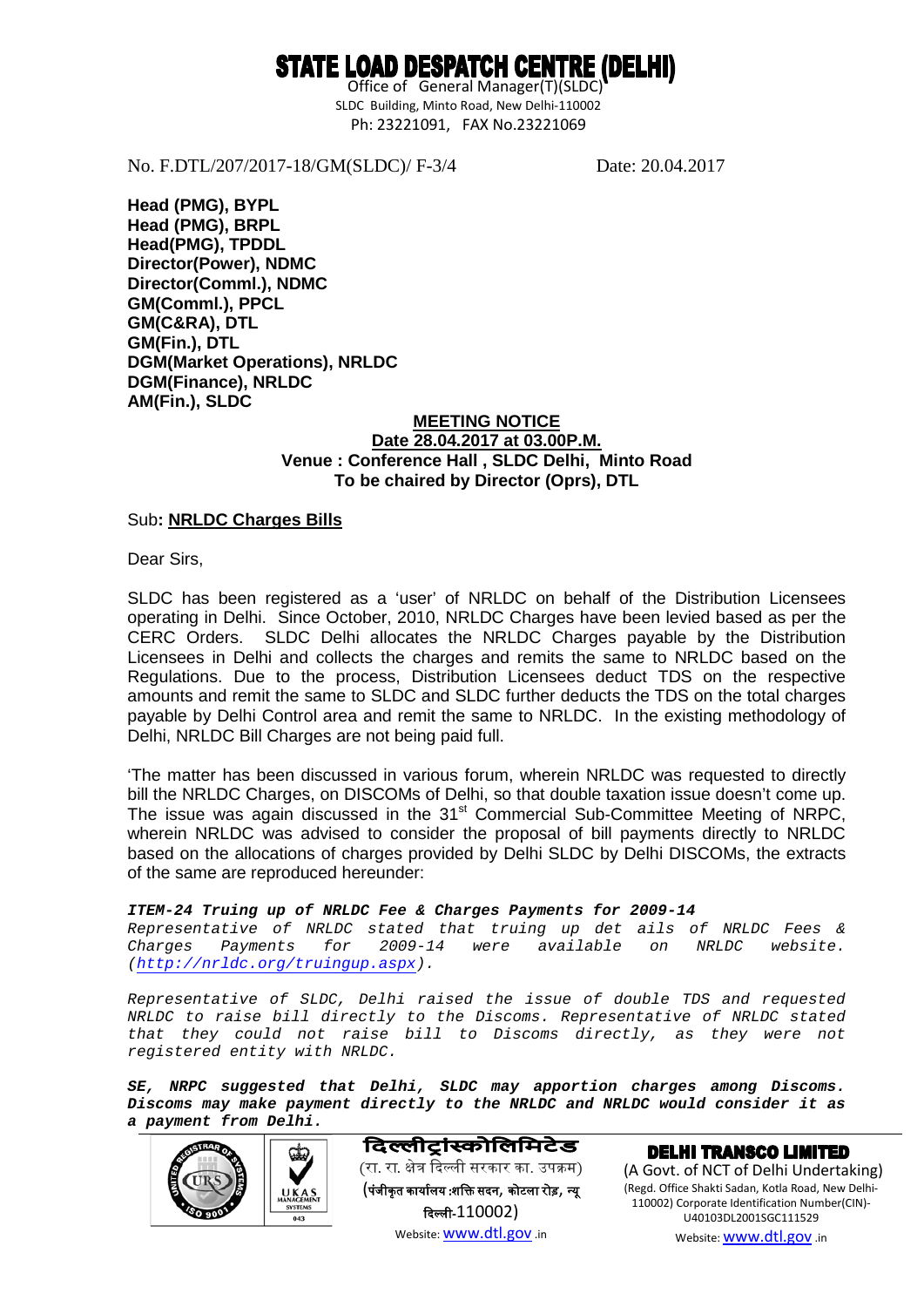## STATE LOAD DESPATCH CENTRE (DELHI)

 Office of General Manager(T)(SLDC) SLDC Building, Minto Road, New Delhi-110002 Ph: 23221091, FAX No.23221069

No. F.DTL/207/2017-18/GM(SLDC)/ F-3/4 Date: 20.04.2017

**Head (PMG), BYPL Head (PMG), BRPL Head(PMG), TPDDL Director(Power), NDMC Director(Comml.), NDMC GM(Comml.), PPCL GM(C&RA), DTL GM(Fin.), DTL DGM(Market Operations), NRLDC DGM(Finance), NRLDC AM(Fin.), SLDC**

#### **MEETING NOTICE Venue : Conference Hall , SLDC Delhi, Minto Road Date 28.04.2017 at 03.00P.M. To be chaired by Director (Oprs), DTL**

Sub**: NRLDC Charges Bills**

Dear Sirs,

SLDC has been registered as a 'user' of NRLDC on behalf of the Distribution Licensees operating in Delhi. Since October, 2010, NRLDC Charges have been levied based as per the CERC Orders. SLDC Delhi allocates the NRLDC Charges payable by the Distribution Licensees in Delhi and collects the charges and remits the same to NRLDC based on the Regulations. Due to the process, Distribution Licensees deduct TDS on the respective amounts and remit the same to SLDC and SLDC further deducts the TDS on the total charges payable by Delhi Control area and remit the same to NRLDC. In the existing methodology of Delhi, NRLDC Bill Charges are not being paid full.

'The matter has been discussed in various forum, wherein NRLDC was requested to directly bill the NRLDC Charges, on DISCOMs of Delhi, so that double taxation issue doesn't come up. The issue was again discussed in the 31<sup>st</sup> Commercial Sub-Committee Meeting of NRPC, wherein NRLDC was advised to consider the proposal of bill payments directly to NRLDC based on the allocations of charges provided by Delhi SLDC by Delhi DISCOMs, the extracts of the same are reproduced hereunder:

*ITEM-24 Truing up of NRLDC Fee & Charges Payments for 2009-14 Representative of NRLDC stated that truing up det ails of NRLDC Fees & Charges Payments for 2009-14 were available on NRLDC website. [\(http://nrldc.org/truingup.aspx\)](http://nrldc.org/truingup.aspx).* 

*Representative of SLDC, Delhi raised the issue of double TDS and requested NRLDC to raise bill directly to the Discoms. Representative of NRLDC stated that they could not raise bill to Discoms directly, as they were not registered entity with NRLDC.*

*SE, NRPC suggested that Delhi, SLDC may apportion charges among Discoms. Discoms may make payment directly to the NRLDC and NRLDC would consider it as a payment from Delhi.* 



दिल्लीटांस्कोलिमिटेड (रा. रा. क्षेत्र दिल्ली सरकार का. उपक्रम) (पंजीकृत कार्यालय :शक्ति सदन, कोटला रोड़, न्यू �दल्ल-110002) Website[: www.dtl.gov](http://www.dtl.gov/) .in

**DELHI TRANSCO LIMITED** (A Govt. of NCT of Delhi Undertaking) (Regd. Office Shakti Sadan, Kotla Road, New Delhi-110002) Corporate Identification Number(CIN)- U40103DL2001SGC111529 Website[: www.dtl.gov](http://www.dtl.gov/) .in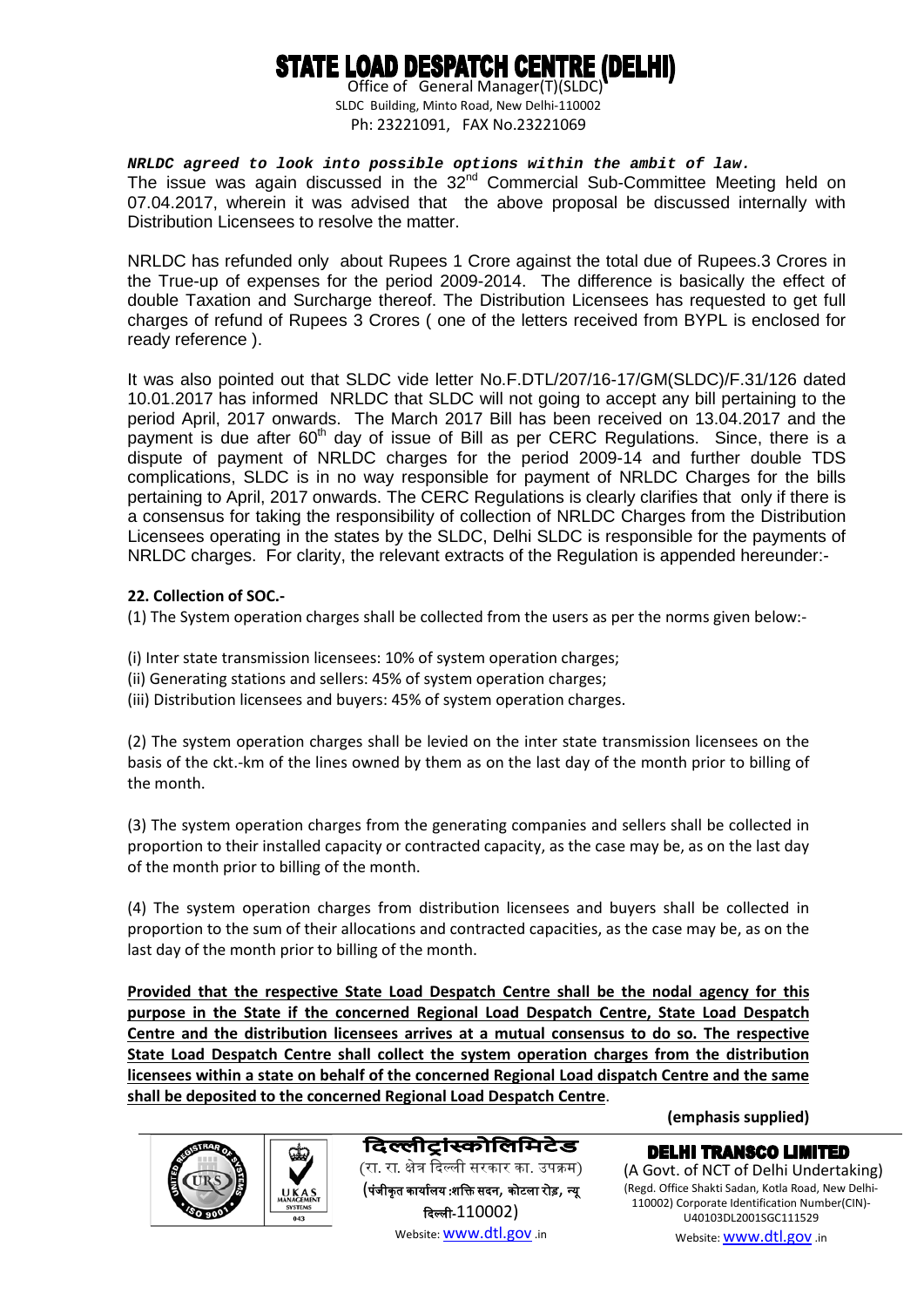# STATE LOAD DESPATCH CENTRE (DELHI)

 Office of General Manager(T)(SLDC) SLDC Building, Minto Road, New Delhi-110002 Ph: 23221091, FAX No.23221069

*NRLDC agreed to look into possible options within the ambit of law.* The issue was again discussed in the 32<sup>nd</sup> Commercial Sub-Committee Meeting held on 07.04.2017, wherein it was advised that the above proposal be discussed internally with Distribution Licensees to resolve the matter.

NRLDC has refunded only about Rupees 1 Crore against the total due of Rupees.3 Crores in the True-up of expenses for the period 2009-2014. The difference is basically the effect of double Taxation and Surcharge thereof. The Distribution Licensees has requested to get full charges of refund of Rupees 3 Crores ( one of the letters received from BYPL is enclosed for ready reference ).

It was also pointed out that SLDC vide letter No.F.DTL/207/16-17/GM(SLDC)/F.31/126 dated 10.01.2017 has informed NRLDC that SLDC will not going to accept any bill pertaining to the period April, 2017 onwards. The March 2017 Bill has been received on 13.04.2017 and the payment is due after 60<sup>th</sup> day of issue of Bill as per CERC Regulations. Since, there is a dispute of payment of NRLDC charges for the period 2009-14 and further double TDS complications, SLDC is in no way responsible for payment of NRLDC Charges for the bills pertaining to April, 2017 onwards. The CERC Regulations is clearly clarifies that only if there is a consensus for taking the responsibility of collection of NRLDC Charges from the Distribution Licensees operating in the states by the SLDC, Delhi SLDC is responsible for the payments of NRLDC charges. For clarity, the relevant extracts of the Regulation is appended hereunder:-

### **22. Collection of SOC.-**

(1) The System operation charges shall be collected from the users as per the norms given below:-

- (i) Inter state transmission licensees: 10% of system operation charges;
- (ii) Generating stations and sellers: 45% of system operation charges;
- (iii) Distribution licensees and buyers: 45% of system operation charges.

(2) The system operation charges shall be levied on the inter state transmission licensees on the basis of the ckt.-km of the lines owned by them as on the last day of the month prior to billing of the month.

(3) The system operation charges from the generating companies and sellers shall be collected in proportion to their installed capacity or contracted capacity, as the case may be, as on the last day of the month prior to billing of the month.

(4) The system operation charges from distribution licensees and buyers shall be collected in proportion to the sum of their allocations and contracted capacities, as the case may be, as on the last day of the month prior to billing of the month.

**Provided that the respective State Load Despatch Centre shall be the nodal agency for this purpose in the State if the concerned Regional Load Despatch Centre, State Load Despatch Centre and the distribution licensees arrives at a mutual consensus to do so. The respective State Load Despatch Centre shall collect the system operation charges from the distribution licensees within a state on behalf of the concerned Regional Load dispatch Centre and the same shall be deposited to the concerned Regional Load Despatch Centre** .



## दिल्लीट्रांस्कोलिमिटेड (रा. रा. क्षेत्र दिल्ली सरकार का. उपक्रम) (पंजीकृत कार्यालय :शक्ति सदन, कोटला रोड़, न्यू �दल्ल-110002)

Website[: www.dtl.gov](http://www.dtl.gov/) .in

**(emphasis supplied)**

**DELHI TRANSCO LIMITED** (A Govt. of NCT of Delhi Undertaking) (Regd. Office Shakti Sadan, Kotla Road, New Delhi-110002) Corporate Identification Number(CIN)- U40103DL2001SGC111529 Website[: www.dtl.gov](http://www.dtl.gov/) .in